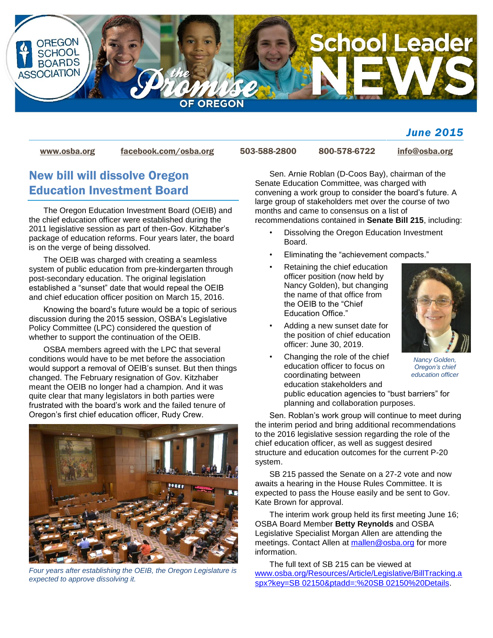

#### *June 2015*

[www.osba.org](http://www.osba.org/) [facebook.com/osba.org](http://www.facebook.com/osba.org) 503-588-2800 800-578-6722 [info@osba.org](mailto:info@osba.org)

### New bill will dissolve Oregon Education Investment Board

The Oregon Education Investment Board (OEIB) and the chief education officer were established during the 2011 legislative session as part of then-Gov. Kitzhaber's package of education reforms. Four years later, the board is on the verge of being dissolved.

The OEIB was charged with creating a seamless system of public education from pre-kindergarten through post-secondary education. The original legislation established a "sunset" date that would repeal the OEIB and chief education officer position on March 15, 2016.

Knowing the board's future would be a topic of serious discussion during the 2015 session, OSBA's Legislative Policy Committee (LPC) considered the question of whether to support the continuation of the OEIB.

OSBA members agreed with the LPC that several conditions would have to be met before the association would support a removal of OEIB's sunset. But then things changed. The February resignation of Gov. Kitzhaber meant the OEIB no longer had a champion. And it was quite clear that many legislators in both parties were frustrated with the board's work and the failed tenure of Oregon's first chief education officer, Rudy Crew.



*Four years after establishing the OEIB, the Oregon Legislature is expected to approve dissolving it.*

Sen. Arnie Roblan (D-Coos Bay), chairman of the Senate Education Committee, was charged with convening a work group to consider the board's future. A large group of stakeholders met over the course of two months and came to consensus on a list of recommendations contained in **Senate Bill 215**, including:

- Dissolving the Oregon Education Investment Board.
- Eliminating the "achievement compacts."
- Retaining the chief education officer position (now held by Nancy Golden), but changing the name of that office from the OEIB to the "Chief Education Office."
- Adding a new sunset date for the position of chief education officer: June 30, 2019.



*Nancy Golden, Oregon's chief education officer*

• Changing the role of the chief education officer to focus on coordinating between education stakeholders and public education agencies to "bust barriers" for planning and collaboration purposes.

Sen. Roblan's work group will continue to meet during the interim period and bring additional recommendations to the 2016 legislative session regarding the role of the chief education officer, as well as suggest desired structure and education outcomes for the current P-20 system.

SB 215 passed the Senate on a 27-2 vote and now awaits a hearing in the House Rules Committee. It is expected to pass the House easily and be sent to Gov. Kate Brown for approval.

The interim work group held its first meeting June 16; OSBA Board Member **Betty Reynolds** and OSBA Legislative Specialist Morgan Allen are attending the meetings. Contact Allen at [mallen@osba.org](mailto:mallen@osba.org) for more information.

The full text of SB 215 can be viewed at [www.osba.org/Resources/Article/Legislative/BillTracking.a](http://www.osba.org/Resources/Article/Legislative/BillTracking.aspx?key=SB%2002150&ptadd=:%20SB%2002150%20Details%20) [spx?key=SB 02150&ptadd=:%20SB 02150%20Details.](http://www.osba.org/Resources/Article/Legislative/BillTracking.aspx?key=SB%2002150&ptadd=:%20SB%2002150%20Details%20)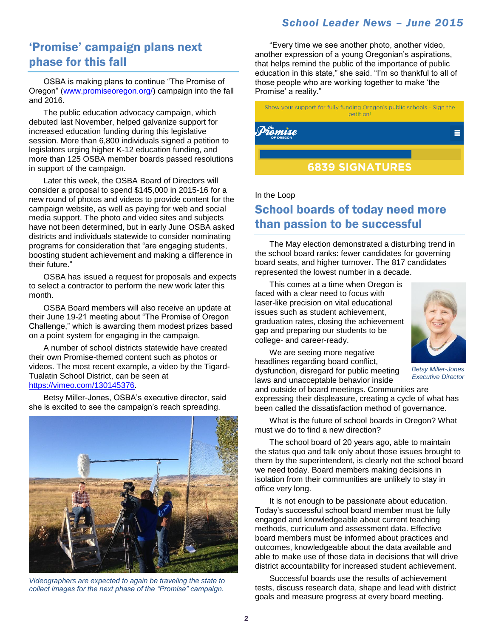#### *School Leader News – June 2015*

### 'Promise' campaign plans next phase for this fall

OSBA is making plans to continue "The Promise of Oregon" [\(www.promiseoregon.org/\)](http://www.promiseoregon.org/) campaign into the fall and 2016.

The public education advocacy campaign, which debuted last November, helped galvanize support for increased education funding during this legislative session. More than 6,800 individuals signed a petition to legislators urging higher K-12 education funding, and more than 125 OSBA member boards passed resolutions in support of the campaign.

Later this week, the OSBA Board of Directors will consider a proposal to spend \$145,000 in 2015-16 for a new round of photos and videos to provide content for the campaign website, as well as paying for web and social media support. The photo and video sites and subjects have not been determined, but in early June OSBA asked districts and individuals statewide to consider nominating programs for consideration that "are engaging students, boosting student achievement and making a difference in their future."

OSBA has issued a request for proposals and expects to select a contractor to perform the new work later this month.

OSBA Board members will also receive an update at their June 19-21 meeting about "The Promise of Oregon Challenge," which is awarding them modest prizes based on a point system for engaging in the campaign.

A number of school districts statewide have created their own Promise-themed content such as photos or videos. The most recent example, a video by the Tigard-Tualatin School District, can be seen at [https://vimeo.com/130145376.](https://vimeo.com/130145376)

Betsy Miller-Jones, OSBA's executive director, said she is excited to see the campaign's reach spreading.



*Videographers are expected to again be traveling the state to collect images for the next phase of the "Promise" campaign.*

"Every time we see another photo, another video, another expression of a young Oregonian's aspirations, that helps remind the public of the importance of public education in this state," she said. "I'm so thankful to all of those people who are working together to make 'the Promise' a reality."

Show your support for fully funding Oregon's public schools - Sign the petition!



#### In the Loop

## School boards of today need more than passion to be successful

The May election demonstrated a disturbing trend in the school board ranks: fewer candidates for governing board seats, and higher turnover. The 817 candidates represented the lowest number in a decade.

This comes at a time when Oregon is faced with a clear need to focus with laser-like precision on vital educational issues such as student achievement, graduation rates, closing the achievement gap and preparing our students to be college- and career-ready.

We are seeing more negative headlines regarding board conflict, dysfunction, disregard for public meeting laws and unacceptable behavior inside



*Betsy Miller-Jones Executive Director*

What is the future of school boards in Oregon? What must we do to find a new direction?

expressing their displeasure, creating a cycle of what has been called the dissatisfaction method of governance.

and outside of board meetings. Communities are

The school board of 20 years ago, able to maintain the status quo and talk only about those issues brought to them by the superintendent, is clearly not the school board we need today. Board members making decisions in isolation from their communities are unlikely to stay in office very long.

It is not enough to be passionate about education. Today's successful school board member must be fully engaged and knowledgeable about current teaching methods, curriculum and assessment data. Effective board members must be informed about practices and outcomes, knowledgeable about the data available and able to make use of those data in decisions that will drive district accountability for increased student achievement.

Successful boards use the results of achievement tests, discuss research data, shape and lead with district goals and measure progress at every board meeting.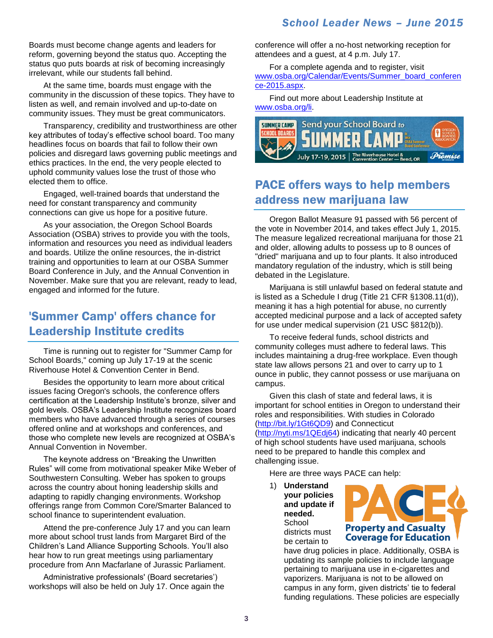Boards must become change agents and leaders for reform, governing beyond the status quo. Accepting the status quo puts boards at risk of becoming increasingly irrelevant, while our students fall behind.

At the same time, boards must engage with the community in the discussion of these topics. They have to listen as well, and remain involved and up-to-date on community issues. They must be great communicators.

Transparency, credibility and trustworthiness are other key attributes of today's effective school board. Too many headlines focus on boards that fail to follow their own policies and disregard laws governing public meetings and ethics practices. In the end, the very people elected to uphold community values lose the trust of those who elected them to office.

Engaged, well-trained boards that understand the need for constant transparency and community connections can give us hope for a positive future.

As your association, the Oregon School Boards Association (OSBA) strives to provide you with the tools, information and resources you need as individual leaders and boards. Utilize the online resources, the in-district training and opportunities to learn at our OSBA Summer Board Conference in July, and the Annual Convention in November. Make sure that you are relevant, ready to lead, engaged and informed for the future.

# 'Summer Camp' offers chance for Leadership Institute credits

Time is running out to register for "Summer Camp for School Boards," coming up July 17-19 at the scenic Riverhouse Hotel & Convention Center in Bend.

Besides the opportunity to learn more about critical issues facing Oregon's schools, the conference offers certification at the Leadership Institute's bronze, silver and gold levels. OSBA's Leadership Institute recognizes board members who have advanced through a series of courses offered online and at workshops and conferences, and those who complete new levels are recognized at OSBA's Annual Convention in November.

The keynote address on "Breaking the Unwritten Rules" will come from motivational speaker Mike Weber of Southwestern Consulting. Weber has spoken to groups across the country about honing leadership skills and adapting to rapidly changing environments. Workshop offerings range from Common Core/Smarter Balanced to school finance to superintendent evaluation.

Attend the pre-conference July 17 and you can learn more about school trust lands from Margaret Bird of the Children's Land Alliance Supporting Schools. You'll also hear how to run great meetings using parliamentary procedure from Ann Macfarlane of Jurassic Parliament.

Administrative professionals' (Board secretaries') workshops will also be held on July 17. Once again the conference will offer a no-host networking reception for attendees and a guest, at 4 p.m. July 17.

For a complete agenda and to register, visit [www.osba.org/Calendar/Events/Summer\\_board\\_conferen](http://www.osba.org/Calendar/Events/Summer_board_conference-2015.aspx) [ce-2015.aspx.](http://www.osba.org/Calendar/Events/Summer_board_conference-2015.aspx)

Find out more about Leadership Institute at [www.osba.org/li.](http://www.osba.org/li)



# PACE offers ways to help members address new marijuana law

Oregon Ballot Measure 91 passed with 56 percent of the vote in November 2014, and takes effect July 1, 2015. The measure legalized recreational marijuana for those 21 and older, allowing adults to possess up to 8 ounces of "dried" marijuana and up to four plants. It also introduced mandatory regulation of the industry, which is still being debated in the Legislature.

Marijuana is still unlawful based on federal statute and is listed as a Schedule I drug (Title 21 CFR §1308.11(d)), meaning it has a high potential for abuse, no currently accepted medicinal purpose and a lack of accepted safety for use under medical supervision (21 USC §812(b)).

To receive federal funds, school districts and community colleges must adhere to federal laws. This includes maintaining a drug-free workplace. Even though state law allows persons 21 and over to carry up to 1 ounce in public, they cannot possess or use marijuana on campus.

Given this clash of state and federal laws, it is important for school entities in Oregon to understand their roles and responsibilities. With studies in Colorado [\(http://bit.ly/1Gt6QD9\)](http://bit.ly/1Gt6QD9) and Connecticut [\(http://nyti.ms/1QEdj64\)](http://nyti.ms/1QEdj64) indicating that nearly 40 percent of high school students have used marijuana, schools need to be prepared to handle this complex and challenging issue.

Here are three ways PACE can help:

1) **Understand your policies and update if needed.** School districts must be certain to



have drug policies in place. Additionally, OSBA is updating its sample policies to include language pertaining to marijuana use in e-cigarettes and vaporizers. Marijuana is not to be allowed on campus in any form, given districts' tie to federal funding regulations. These policies are especially